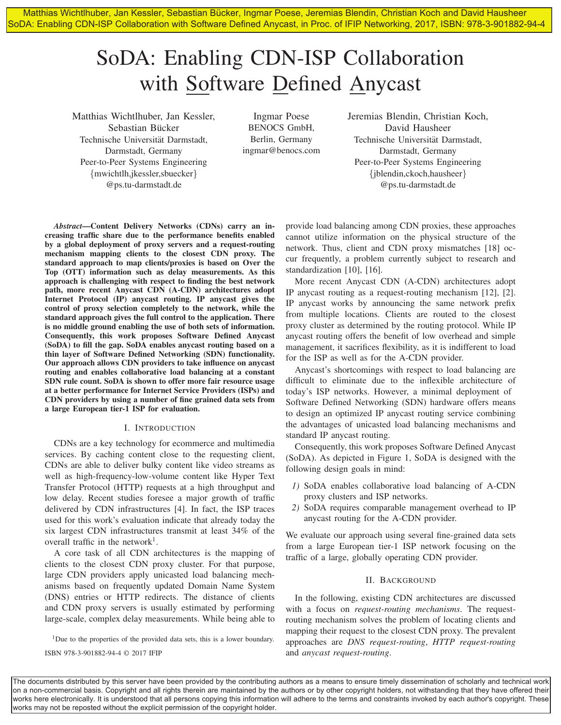Matthias Wichtlhuber, Jan Kessler, Sebastian Bücker, Ingmar Poese, Jeremias Blendin, Christian Koch and David Hausheer SoDA: Enabling CDN-ISP Collaboration with Software Defined Anycast, in Proc. of IFIP Networking, 2017, ISBN: 978-3-901882-94-4

# SoDA: Enabling CDN-ISP Collaboration with Software Defined Anycast

Matthias Wichtlhuber, Jan Kessler, Sebastian Bücker Technische Universität Darmstadt, Darmstadt, Germany Peer-to-Peer Systems Engineering {mwichtlh,jkessler,sbuecker} @ps.tu-darmstadt.de

Ingmar Poese BENOCS GmbH, Berlin, Germany ingmar@benocs.com Jeremias Blendin, Christian Koch, David Hausheer Technische Universität Darmstadt, Darmstadt, Germany Peer-to-Peer Systems Engineering {jblendin,ckoch,hausheer} @ps.tu-darmstadt.de

*Abstract*—Content Delivery Networks (CDNs) carry an increasing traffic share due to the performance benefits enabled by a global deployment of proxy servers and a request-routing mechanism mapping clients to the closest CDN proxy. The standard approach to map clients/proxies is based on Over the Top (OTT) information such as delay measurements. As this approach is challenging with respect to finding the best network path, more recent Anycast CDN (A-CDN) architectures adopt Internet Protocol (IP) anycast routing. IP anycast gives the control of proxy selection completely to the network, while the standard approach gives the full control to the application. There is no middle ground enabling the use of both sets of information. Consequently, this work proposes Software Defined Anycast (SoDA) to fill the gap. SoDA enables anycast routing based on a thin layer of Software Defined Networking (SDN) functionality. Our approach allows CDN providers to take influence on anycast routing and enables collaborative load balancing at a constant SDN rule count. SoDA is shown to offer more fair resource usage at a better performance for Internet Service Providers (ISPs) and CDN providers by using a number of fine grained data sets from a large European tier-1 ISP for evaluation.

## I. INTRODUCTION

CDNs are a key technology for ecommerce and multimedia services. By caching content close to the requesting client, CDNs are able to deliver bulky content like video streams as well as high-frequency-low-volume content like Hyper Text Transfer Protocol (HTTP) requests at a high throughput and low delay. Recent studies foresee a major growth of traffic delivered by CDN infrastructures [4]. In fact, the ISP traces used for this work's evaluation indicate that already today the six largest CDN infrastructures transmit at least 34% of the overall traffic in the network<sup>1</sup>.

A core task of all CDN architectures is the mapping of clients to the closest CDN proxy cluster. For that purpose, large CDN providers apply unicasted load balancing mechanisms based on frequently updated Domain Name System (DNS) entries or HTTP redirects. The distance of clients and CDN proxy servers is usually estimated by performing large-scale, complex delay measurements. While being able to

<sup>1</sup>Due to the properties of the provided data sets, this is a lower boundary. ISBN 978-3-901882-94-4 © 2017 IFIP and *anycast request-routing*.

provide load balancing among CDN proxies, these approaches cannot utilize information on the physical structure of the network. Thus, client and CDN proxy mismatches [18] occur frequently, a problem currently subject to research and standardization [10], [16].

More recent Anycast CDN (A-CDN) architectures adopt IP anycast routing as a request-routing mechanism [12], [2]. IP anycast works by announcing the same network prefix from multiple locations. Clients are routed to the closest proxy cluster as determined by the routing protocol. While IP anycast routing offers the benefit of low overhead and simple management, it sacrifices flexibility, as it is indifferent to load for the ISP as well as for the A-CDN provider.

Anycast's shortcomings with respect to load balancing are difficult to eliminate due to the inflexible architecture of today's ISP networks. However, a minimal deployment of Software Defined Networking (SDN) hardware offers means to design an optimized IP anycast routing service combining the advantages of unicasted load balancing mechanisms and standard IP anycast routing.

Consequently, this work proposes Software Defined Anycast (SoDA). As depicted in Figure 1, SoDA is designed with the following design goals in mind:

- *1)* SoDA enables collaborative load balancing of A-CDN proxy clusters and ISP networks.
- *2)* SoDA requires comparable management overhead to IP anycast routing for the A-CDN provider.

We evaluate our approach using several fine-grained data sets from a large European tier-1 ISP network focusing on the traffic of a large, globally operating CDN provider.

# II. BACKGROUND

In the following, existing CDN architectures are discussed with a focus on *request-routing mechanisms*. The requestrouting mechanism solves the problem of locating clients and mapping their request to the closest CDN proxy. The prevalent approaches are *DNS request-routing*, *HTTP request-routing*

The documents distributed by this server have been provided by the contributing authors as a means to ensure timely dissemination of scholarly and technical work on a non-commercial basis. Copyright and all rights therein are maintained by the authors or by other copyright holders, not withstanding that they have offered their works here electronically. It is understood that all persons copying this information will adhere to the terms and constraints invoked by each author's copyright. These works may not be reposted without the explicit permission of the copyright holder.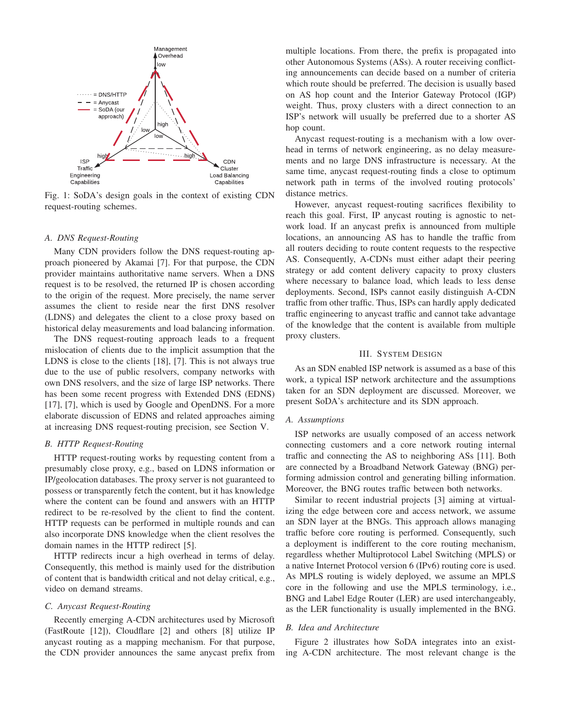

Fig. 1: SoDA's design goals in the context of existing CDN request-routing schemes.

#### *A. DNS Request-Routing*

Many CDN providers follow the DNS request-routing approach pioneered by Akamai [7]. For that purpose, the CDN provider maintains authoritative name servers. When a DNS request is to be resolved, the returned IP is chosen according to the origin of the request. More precisely, the name server assumes the client to reside near the first DNS resolver (LDNS) and delegates the client to a close proxy based on historical delay measurements and load balancing information.

The DNS request-routing approach leads to a frequent mislocation of clients due to the implicit assumption that the LDNS is close to the clients [18], [7]. This is not always true due to the use of public resolvers, company networks with own DNS resolvers, and the size of large ISP networks. There has been some recent progress with Extended DNS (EDNS) [17], [7], which is used by Google and OpenDNS. For a more elaborate discussion of EDNS and related approaches aiming at increasing DNS request-routing precision, see Section V.

#### *B. HTTP Request-Routing*

HTTP request-routing works by requesting content from a presumably close proxy, e.g., based on LDNS information or IP/geolocation databases. The proxy server is not guaranteed to possess or transparently fetch the content, but it has knowledge where the content can be found and answers with an HTTP redirect to be re-resolved by the client to find the content. HTTP requests can be performed in multiple rounds and can also incorporate DNS knowledge when the client resolves the domain names in the HTTP redirect [5].

HTTP redirects incur a high overhead in terms of delay. Consequently, this method is mainly used for the distribution of content that is bandwidth critical and not delay critical, e.g., video on demand streams.

## *C. Anycast Request-Routing*

Recently emerging A-CDN architectures used by Microsoft (FastRoute [12]), Cloudflare [2] and others [8] utilize IP anycast routing as a mapping mechanism. For that purpose, the CDN provider announces the same anycast prefix from multiple locations. From there, the prefix is propagated into other Autonomous Systems (ASs). A router receiving conflicting announcements can decide based on a number of criteria which route should be preferred. The decision is usually based on AS hop count and the Interior Gateway Protocol (IGP) weight. Thus, proxy clusters with a direct connection to an ISP's network will usually be preferred due to a shorter AS hop count.

Anycast request-routing is a mechanism with a low overhead in terms of network engineering, as no delay measurements and no large DNS infrastructure is necessary. At the same time, anycast request-routing finds a close to optimum network path in terms of the involved routing protocols' distance metrics.

However, anycast request-routing sacrifices flexibility to reach this goal. First, IP anycast routing is agnostic to network load. If an anycast prefix is announced from multiple locations, an announcing AS has to handle the traffic from all routers deciding to route content requests to the respective AS. Consequently, A-CDNs must either adapt their peering strategy or add content delivery capacity to proxy clusters where necessary to balance load, which leads to less dense deployments. Second, ISPs cannot easily distinguish A-CDN traffic from other traffic. Thus, ISPs can hardly apply dedicated traffic engineering to anycast traffic and cannot take advantage of the knowledge that the content is available from multiple proxy clusters.

#### III. SYSTEM DESIGN

As an SDN enabled ISP network is assumed as a base of this work, a typical ISP network architecture and the assumptions taken for an SDN deployment are discussed. Moreover, we present SoDA's architecture and its SDN approach.

#### *A. Assumptions*

ISP networks are usually composed of an access network connecting customers and a core network routing internal traffic and connecting the AS to neighboring ASs [11]. Both are connected by a Broadband Network Gateway (BNG) performing admission control and generating billing information. Moreover, the BNG routes traffic between both networks.

Similar to recent industrial projects [3] aiming at virtualizing the edge between core and access network, we assume an SDN layer at the BNGs. This approach allows managing traffic before core routing is performed. Consequently, such a deployment is indifferent to the core routing mechanism, regardless whether Multiprotocol Label Switching (MPLS) or a native Internet Protocol version 6 (IPv6) routing core is used. As MPLS routing is widely deployed, we assume an MPLS core in the following and use the MPLS terminology, i.e., BNG and Label Edge Router (LER) are used interchangeably, as the LER functionality is usually implemented in the BNG.

## *B. Idea and Architecture*

Figure 2 illustrates how SoDA integrates into an existing A-CDN architecture. The most relevant change is the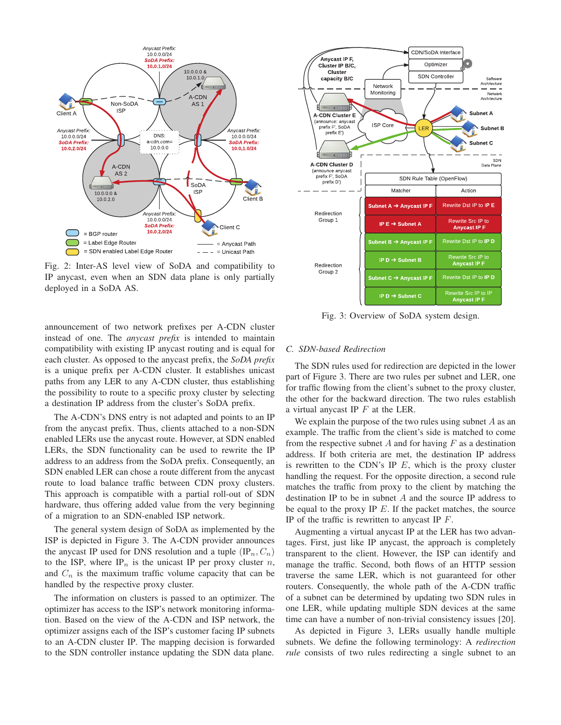

Fig. 2: Inter-AS level view of SoDA and compatibility to IP anycast, even when an SDN data plane is only partially deployed in a SoDA AS.

announcement of two network prefixes per A-CDN cluster instead of one. The *anycast prefix* is intended to maintain compatibility with existing IP anycast routing and is equal for each cluster. As opposed to the anycast prefix, the *SoDA prefix* is a unique prefix per A-CDN cluster. It establishes unicast paths from any LER to any A-CDN cluster, thus establishing the possibility to route to a specific proxy cluster by selecting a destination IP address from the cluster's SoDA prefix.

The A-CDN's DNS entry is not adapted and points to an IP from the anycast prefix. Thus, clients attached to a non-SDN enabled LERs use the anycast route. However, at SDN enabled LERs, the SDN functionality can be used to rewrite the IP address to an address from the SoDA prefix. Consequently, an SDN enabled LER can chose a route different from the anycast route to load balance traffic between CDN proxy clusters. This approach is compatible with a partial roll-out of SDN hardware, thus offering added value from the very beginning of a migration to an SDN-enabled ISP network.

The general system design of SoDA as implemented by the ISP is depicted in Figure 3. The A-CDN provider announces the anycast IP used for DNS resolution and a tuple  $(\mathbb{P}_n, C_n)$ to the ISP, where  $IP_n$  is the unicast IP per proxy cluster n, and  $C_n$  is the maximum traffic volume capacity that can be handled by the respective proxy cluster.

The information on clusters is passed to an optimizer. The optimizer has access to the ISP's network monitoring information. Based on the view of the A-CDN and ISP network, the optimizer assigns each of the ISP's customer facing IP subnets to an A-CDN cluster IP. The mapping decision is forwarded to the SDN controller instance updating the SDN data plane.



Fig. 3: Overview of SoDA system design.

#### *C. SDN-based Redirection*

The SDN rules used for redirection are depicted in the lower part of Figure 3. There are two rules per subnet and LER, one for traffic flowing from the client's subnet to the proxy cluster, the other for the backward direction. The two rules establish a virtual any cast IP  $F$  at the LER.

We explain the purpose of the two rules using subnet  $A$  as an example. The traffic from the client's side is matched to come from the respective subnet  $A$  and for having  $F$  as a destination address. If both criteria are met, the destination IP address is rewritten to the CDN's IP  $E$ , which is the proxy cluster handling the request. For the opposite direction, a second rule matches the traffic from proxy to the client by matching the destination IP to be in subnet A and the source IP address to be equal to the proxy IP  $E$ . If the packet matches, the source IP of the traffic is rewritten to any cast IP  $F$ .

Augmenting a virtual anycast IP at the LER has two advantages. First, just like IP anycast, the approach is completely transparent to the client. However, the ISP can identify and manage the traffic. Second, both flows of an HTTP session traverse the same LER, which is not guaranteed for other routers. Consequently, the whole path of the A-CDN traffic of a subnet can be determined by updating two SDN rules in one LER, while updating multiple SDN devices at the same time can have a number of non-trivial consistency issues [20].

As depicted in Figure 3, LERs usually handle multiple subnets. We define the following terminology: A *redirection rule* consists of two rules redirecting a single subnet to an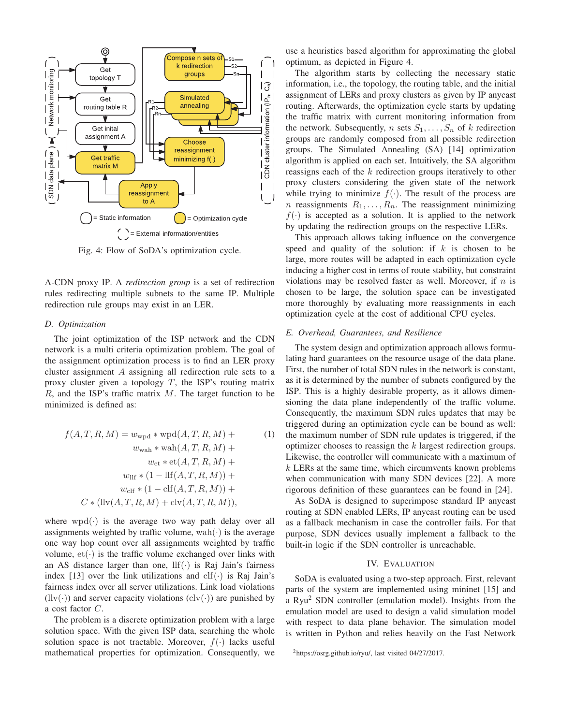

Fig. 4: Flow of SoDA's optimization cycle.

A-CDN proxy IP. A *redirection group* is a set of redirection rules redirecting multiple subnets to the same IP. Multiple redirection rule groups may exist in an LER.

# *D. Optimization*

The joint optimization of the ISP network and the CDN network is a multi criteria optimization problem. The goal of the assignment optimization process is to find an LER proxy cluster assignment A assigning all redirection rule sets to a proxy cluster given a topology  $T$ , the ISP's routing matrix  $R$ , and the ISP's traffic matrix  $M$ . The target function to be minimized is defined as:

$$
f(A, T, R, M) = w_{\text{wpd}} * \text{wpd}(A, T, R, M) +
$$
  
\n
$$
w_{\text{wah}} * \text{wah}(A, T, R, M) +
$$
  
\n
$$
w_{\text{et}} * \text{et}(A, T, R, M) +
$$
  
\n
$$
w_{\text{lf}} * (1 - \text{llf}(A, T, R, M)) +
$$
  
\n
$$
w_{\text{clf}} * (1 - \text{clf}(A, T, R, M)) +
$$
  
\n
$$
C * (\text{llv}(A, T, R, M) + \text{clv}(A, T, R, M)),
$$
\n(11)

where  $wpd(\cdot)$  is the average two way path delay over all assignments weighted by traffic volume,  $\text{wah}(\cdot)$  is the average one way hop count over all assignments weighted by traffic volume,  $et(\cdot)$  is the traffic volume exchanged over links with an AS distance larger than one,  $\text{llf}(\cdot)$  is Raj Jain's fairness index [13] over the link utilizations and  $\text{clf}(\cdot)$  is Raj Jain's fairness index over all server utilizations. Link load violations  $(l\nu(\cdot))$  and server capacity violations  $(cl\nu(\cdot))$  are punished by a cost factor C.

The problem is a discrete optimization problem with a large solution space. With the given ISP data, searching the whole solution space is not tractable. Moreover,  $f(\cdot)$  lacks useful mathematical properties for optimization. Consequently, we use a heuristics based algorithm for approximating the global optimum, as depicted in Figure 4.

The algorithm starts by collecting the necessary static information, i.e., the topology, the routing table, and the initial assignment of LERs and proxy clusters as given by IP anycast routing. Afterwards, the optimization cycle starts by updating the traffic matrix with current monitoring information from the network. Subsequently, n sets  $S_1, \ldots, S_n$  of k redirection groups are randomly composed from all possible redirection groups. The Simulated Annealing (SA) [14] optimization algorithm is applied on each set. Intuitively, the SA algorithm reassigns each of the  $k$  redirection groups iteratively to other proxy clusters considering the given state of the network while trying to minimize  $f(\cdot)$ . The result of the process are *n* reassignments  $R_1, \ldots, R_n$ . The reassignment minimizing  $f(\cdot)$  is accepted as a solution. It is applied to the network by updating the redirection groups on the respective LERs.

This approach allows taking influence on the convergence speed and quality of the solution: if  $k$  is chosen to be large, more routes will be adapted in each optimization cycle inducing a higher cost in terms of route stability, but constraint violations may be resolved faster as well. Moreover, if  $n$  is chosen to be large, the solution space can be investigated more thoroughly by evaluating more reassignments in each optimization cycle at the cost of additional CPU cycles.

## *E. Overhead, Guarantees, and Resilience*

The system design and optimization approach allows formulating hard guarantees on the resource usage of the data plane. First, the number of total SDN rules in the network is constant, as it is determined by the number of subnets configured by the ISP. This is a highly desirable property, as it allows dimensioning the data plane independently of the traffic volume. Consequently, the maximum SDN rules updates that may be triggered during an optimization cycle can be bound as well: the maximum number of SDN rule updates is triggered, if the optimizer chooses to reassign the k largest redirection groups. Likewise, the controller will communicate with a maximum of  $k$  LERs at the same time, which circumvents known problems when communication with many SDN devices [22]. A more rigorous definition of these guarantees can be found in [24].

As SoDA is designed to superimpose standard IP anycast routing at SDN enabled LERs, IP anycast routing can be used as a fallback mechanism in case the controller fails. For that purpose, SDN devices usually implement a fallback to the built-in logic if the SDN controller is unreachable.

## IV. EVALUATION

SoDA is evaluated using a two-step approach. First, relevant parts of the system are implemented using mininet [15] and a Ryu2 SDN controller (emulation model). Insights from the emulation model are used to design a valid simulation model with respect to data plane behavior. The simulation model is written in Python and relies heavily on the Fast Network

<sup>2</sup>https://osrg.github.io/ryu/, last visited 04/27/2017.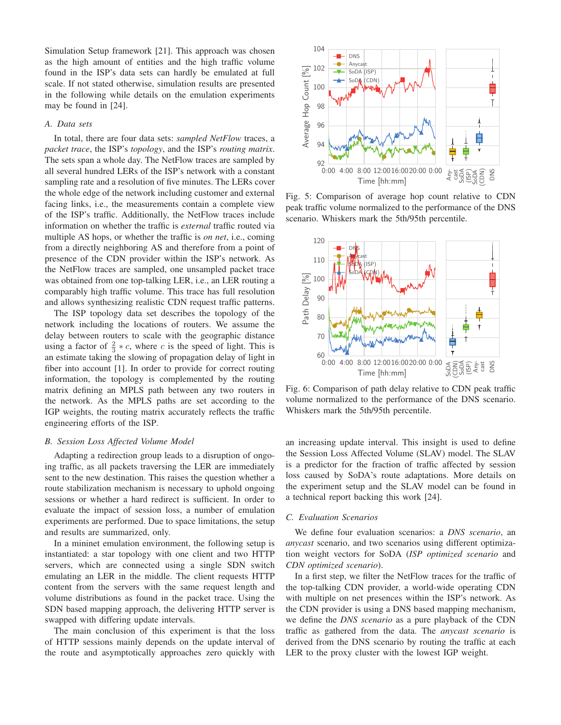Simulation Setup framework [21]. This approach was chosen as the high amount of entities and the high traffic volume found in the ISP's data sets can hardly be emulated at full scale. If not stated otherwise, simulation results are presented in the following while details on the emulation experiments may be found in [24].

## *A. Data sets*

In total, there are four data sets: *sampled NetFlow* traces, a *packet trace*, the ISP's *topology*, and the ISP's *routing matrix*. The sets span a whole day. The NetFlow traces are sampled by all several hundred LERs of the ISP's network with a constant sampling rate and a resolution of five minutes. The LERs cover the whole edge of the network including customer and external facing links, i.e., the measurements contain a complete view of the ISP's traffic. Additionally, the NetFlow traces include information on whether the traffic is *external* traffic routed via multiple AS hops, or whether the traffic is *on net*, i.e., coming from a directly neighboring AS and therefore from a point of presence of the CDN provider within the ISP's network. As the NetFlow traces are sampled, one unsampled packet trace was obtained from one top-talking LER, i.e., an LER routing a comparably high traffic volume. This trace has full resolution and allows synthesizing realistic CDN request traffic patterns.

The ISP topology data set describes the topology of the network including the locations of routers. We assume the delay between routers to scale with the geographic distance using a factor of  $\frac{2}{3} * c$ , where c is the speed of light. This is an estimate taking the slowing of propagation delay of light in fiber into account [1]. In order to provide for correct routing information, the topology is complemented by the routing matrix defining an MPLS path between any two routers in the network. As the MPLS paths are set according to the IGP weights, the routing matrix accurately reflects the traffic engineering efforts of the ISP.

# *B. Session Loss Affected Volume Model*

Adapting a redirection group leads to a disruption of ongoing traffic, as all packets traversing the LER are immediately sent to the new destination. This raises the question whether a route stabilization mechanism is necessary to uphold ongoing sessions or whether a hard redirect is sufficient. In order to evaluate the impact of session loss, a number of emulation experiments are performed. Due to space limitations, the setup and results are summarized, only.

In a mininet emulation environment, the following setup is instantiated: a star topology with one client and two HTTP servers, which are connected using a single SDN switch emulating an LER in the middle. The client requests HTTP content from the servers with the same request length and volume distributions as found in the packet trace. Using the SDN based mapping approach, the delivering HTTP server is swapped with differing update intervals.

The main conclusion of this experiment is that the loss of HTTP sessions mainly depends on the update interval of the route and asymptotically approaches zero quickly with



Fig. 5: Comparison of average hop count relative to CDN peak traffic volume normalized to the performance of the DNS scenario. Whiskers mark the 5th/95th percentile.



Fig. 6: Comparison of path delay relative to CDN peak traffic volume normalized to the performance of the DNS scenario. Whiskers mark the 5th/95th percentile.

an increasing update interval. This insight is used to define the Session Loss Affected Volume (SLAV) model. The SLAV is a predictor for the fraction of traffic affected by session loss caused by SoDA's route adaptations. More details on the experiment setup and the SLAV model can be found in a technical report backing this work [24].

## *C. Evaluation Scenarios*

We define four evaluation scenarios: a *DNS scenario*, an *anycast* scenario, and two scenarios using different optimization weight vectors for SoDA (*ISP optimized scenario* and *CDN optimized scenario*).

In a first step, we filter the NetFlow traces for the traffic of the top-talking CDN provider, a world-wide operating CDN with multiple on net presences within the ISP's network. As the CDN provider is using a DNS based mapping mechanism, we define the *DNS scenario* as a pure playback of the CDN traffic as gathered from the data. The *anycast scenario* is derived from the DNS scenario by routing the traffic at each LER to the proxy cluster with the lowest IGP weight.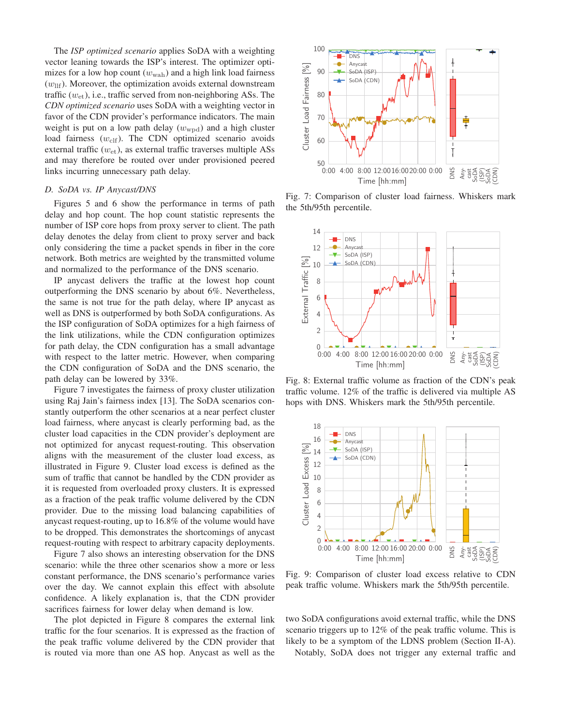The *ISP optimized scenario* applies SoDA with a weighting vector leaning towards the ISP's interest. The optimizer optimizes for a low hop count  $(w<sub>wah</sub>)$  and a high link load fairness  $(w_{\text{llf}})$ . Moreover, the optimization avoids external downstream traffic  $(w_{\text{et}})$ , i.e., traffic served from non-neighboring ASs. The *CDN optimized scenario* uses SoDA with a weighting vector in favor of the CDN provider's performance indicators. The main weight is put on a low path delay  $(w_{\text{wpd}})$  and a high cluster load fairness  $(w_{\text{clf}})$ . The CDN optimized scenario avoids external traffic  $(w_{et})$ , as external traffic traverses multiple ASs and may therefore be routed over under provisioned peered links incurring unnecessary path delay.

## *D. SoDA vs. IP Anycast/DNS*

Figures 5 and 6 show the performance in terms of path delay and hop count. The hop count statistic represents the number of ISP core hops from proxy server to client. The path delay denotes the delay from client to proxy server and back only considering the time a packet spends in fiber in the core network. Both metrics are weighted by the transmitted volume and normalized to the performance of the DNS scenario.

IP anycast delivers the traffic at the lowest hop count outperforming the DNS scenario by about 6%. Nevertheless, the same is not true for the path delay, where IP anycast as well as DNS is outperformed by both SoDA configurations. As the ISP configuration of SoDA optimizes for a high fairness of the link utilizations, while the CDN configuration optimizes for path delay, the CDN configuration has a small advantage with respect to the latter metric. However, when comparing the CDN configuration of SoDA and the DNS scenario, the path delay can be lowered by 33%.

Figure 7 investigates the fairness of proxy cluster utilization using Raj Jain's fairness index [13]. The SoDA scenarios constantly outperform the other scenarios at a near perfect cluster load fairness, where anycast is clearly performing bad, as the cluster load capacities in the CDN provider's deployment are not optimized for anycast request-routing. This observation aligns with the measurement of the cluster load excess, as illustrated in Figure 9. Cluster load excess is defined as the sum of traffic that cannot be handled by the CDN provider as it is requested from overloaded proxy clusters. It is expressed as a fraction of the peak traffic volume delivered by the CDN provider. Due to the missing load balancing capabilities of anycast request-routing, up to 16.8% of the volume would have to be dropped. This demonstrates the shortcomings of anycast request-routing with respect to arbitrary capacity deployments.

Figure 7 also shows an interesting observation for the DNS scenario: while the three other scenarios show a more or less constant performance, the DNS scenario's performance varies over the day. We cannot explain this effect with absolute confidence. A likely explanation is, that the CDN provider sacrifices fairness for lower delay when demand is low.

The plot depicted in Figure 8 compares the external link traffic for the four scenarios. It is expressed as the fraction of the peak traffic volume delivered by the CDN provider that is routed via more than one AS hop. Anycast as well as the



Fig. 7: Comparison of cluster load fairness. Whiskers mark the 5th/95th percentile.



Fig. 8: External traffic volume as fraction of the CDN's peak traffic volume. 12% of the traffic is delivered via multiple AS hops with DNS. Whiskers mark the 5th/95th percentile.



Fig. 9: Comparison of cluster load excess relative to CDN peak traffic volume. Whiskers mark the 5th/95th percentile.

two SoDA configurations avoid external traffic, while the DNS scenario triggers up to 12% of the peak traffic volume. This is likely to be a symptom of the LDNS problem (Section II-A).

Notably, SoDA does not trigger any external traffic and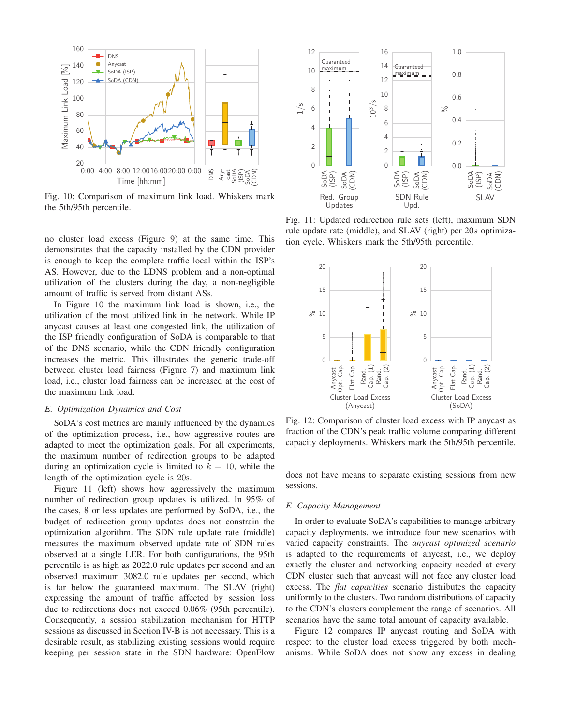

Fig. 10: Comparison of maximum link load. Whiskers mark the 5th/95th percentile.

no cluster load excess (Figure 9) at the same time. This demonstrates that the capacity installed by the CDN provider is enough to keep the complete traffic local within the ISP's AS. However, due to the LDNS problem and a non-optimal utilization of the clusters during the day, a non-negligible amount of traffic is served from distant ASs.

In Figure 10 the maximum link load is shown, i.e., the utilization of the most utilized link in the network. While IP anycast causes at least one congested link, the utilization of the ISP friendly configuration of SoDA is comparable to that of the DNS scenario, while the CDN friendly configuration increases the metric. This illustrates the generic trade-off between cluster load fairness (Figure 7) and maximum link load, i.e., cluster load fairness can be increased at the cost of the maximum link load.

# *E. Optimization Dynamics and Cost*

SoDA's cost metrics are mainly influenced by the dynamics of the optimization process, i.e., how aggressive routes are adapted to meet the optimization goals. For all experiments, the maximum number of redirection groups to be adapted during an optimization cycle is limited to  $k = 10$ , while the length of the optimization cycle is 20s.

Figure 11 (left) shows how aggressively the maximum number of redirection group updates is utilized. In 95% of the cases, 8 or less updates are performed by SoDA, i.e., the budget of redirection group updates does not constrain the optimization algorithm. The SDN rule update rate (middle) measures the maximum observed update rate of SDN rules observed at a single LER. For both configurations, the 95th percentile is as high as 2022.0 rule updates per second and an observed maximum 3082.0 rule updates per second, which is far below the guaranteed maximum. The SLAV (right) expressing the amount of traffic affected by session loss due to redirections does not exceed 0.06% (95th percentile). Consequently, a session stabilization mechanism for HTTP sessions as discussed in Section IV-B is not necessary. This is a desirable result, as stabilizing existing sessions would require keeping per session state in the SDN hardware: OpenFlow



Fig. 11: Updated redirection rule sets (left), maximum SDN rule update rate (middle), and SLAV (right) per 20s optimization cycle. Whiskers mark the 5th/95th percentile.



Fig. 12: Comparison of cluster load excess with IP anycast as fraction of the CDN's peak traffic volume comparing different capacity deployments. Whiskers mark the 5th/95th percentile.

does not have means to separate existing sessions from new sessions.

#### *F. Capacity Management*

In order to evaluate SoDA's capabilities to manage arbitrary capacity deployments, we introduce four new scenarios with varied capacity constraints. The *anycast optimized scenario* is adapted to the requirements of anycast, i.e., we deploy exactly the cluster and networking capacity needed at every CDN cluster such that anycast will not face any cluster load excess. The *flat capacities* scenario distributes the capacity uniformly to the clusters. Two random distributions of capacity to the CDN's clusters complement the range of scenarios. All scenarios have the same total amount of capacity available.

Figure 12 compares IP anycast routing and SoDA with respect to the cluster load excess triggered by both mechanisms. While SoDA does not show any excess in dealing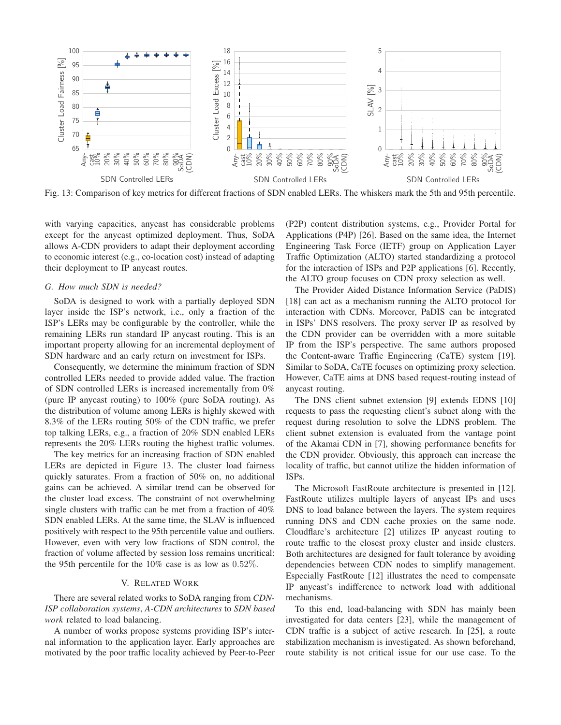

Fig. 13: Comparison of key metrics for different fractions of SDN enabled LERs. The whiskers mark the 5th and 95th percentile.

with varying capacities, anycast has considerable problems except for the anycast optimized deployment. Thus, SoDA allows A-CDN providers to adapt their deployment according to economic interest (e.g., co-location cost) instead of adapting their deployment to IP anycast routes.

# *G. How much SDN is needed?*

SoDA is designed to work with a partially deployed SDN layer inside the ISP's network, i.e., only a fraction of the ISP's LERs may be configurable by the controller, while the remaining LERs run standard IP anycast routing. This is an important property allowing for an incremental deployment of SDN hardware and an early return on investment for ISPs.

Consequently, we determine the minimum fraction of SDN controlled LERs needed to provide added value. The fraction of SDN controlled LERs is increased incrementally from 0% (pure IP anycast routing) to 100% (pure SoDA routing). As the distribution of volume among LERs is highly skewed with 8.3% of the LERs routing 50% of the CDN traffic, we prefer top talking LERs, e.g., a fraction of 20% SDN enabled LERs represents the 20% LERs routing the highest traffic volumes.

The key metrics for an increasing fraction of SDN enabled LERs are depicted in Figure 13. The cluster load fairness quickly saturates. From a fraction of 50% on, no additional gains can be achieved. A similar trend can be observed for the cluster load excess. The constraint of not overwhelming single clusters with traffic can be met from a fraction of 40% SDN enabled LERs. At the same time, the SLAV is influenced positively with respect to the 95th percentile value and outliers. However, even with very low fractions of SDN control, the fraction of volume affected by session loss remains uncritical: the 95th percentile for the 10% case is as low as 0.52%.

## V. RELATED WORK

There are several related works to SoDA ranging from *CDN-ISP collaboration systems*, *A-CDN architectures* to *SDN based work* related to load balancing.

A number of works propose systems providing ISP's internal information to the application layer. Early approaches are motivated by the poor traffic locality achieved by Peer-to-Peer (P2P) content distribution systems, e.g., Provider Portal for Applications (P4P) [26]. Based on the same idea, the Internet Engineering Task Force (IETF) group on Application Layer Traffic Optimization (ALTO) started standardizing a protocol for the interaction of ISPs and P2P applications [6]. Recently, the ALTO group focuses on CDN proxy selection as well.

The Provider Aided Distance Information Service (PaDIS) [18] can act as a mechanism running the ALTO protocol for interaction with CDNs. Moreover, PaDIS can be integrated in ISPs' DNS resolvers. The proxy server IP as resolved by the CDN provider can be overridden with a more suitable IP from the ISP's perspective. The same authors proposed the Content-aware Traffic Engineering (CaTE) system [19]. Similar to SoDA, CaTE focuses on optimizing proxy selection. However, CaTE aims at DNS based request-routing instead of anycast routing.

The DNS client subnet extension [9] extends EDNS [10] requests to pass the requesting client's subnet along with the request during resolution to solve the LDNS problem. The client subnet extension is evaluated from the vantage point of the Akamai CDN in [7], showing performance benefits for the CDN provider. Obviously, this approach can increase the locality of traffic, but cannot utilize the hidden information of ISPs.

The Microsoft FastRoute architecture is presented in [12]. FastRoute utilizes multiple layers of anycast IPs and uses DNS to load balance between the layers. The system requires running DNS and CDN cache proxies on the same node. Cloudflare's architecture [2] utilizes IP anycast routing to route traffic to the closest proxy cluster and inside clusters. Both architectures are designed for fault tolerance by avoiding dependencies between CDN nodes to simplify management. Especially FastRoute [12] illustrates the need to compensate IP anycast's indifference to network load with additional mechanisms.

To this end, load-balancing with SDN has mainly been investigated for data centers [23], while the management of CDN traffic is a subject of active research. In [25], a route stabilization mechanism is investigated. As shown beforehand, route stability is not critical issue for our use case. To the